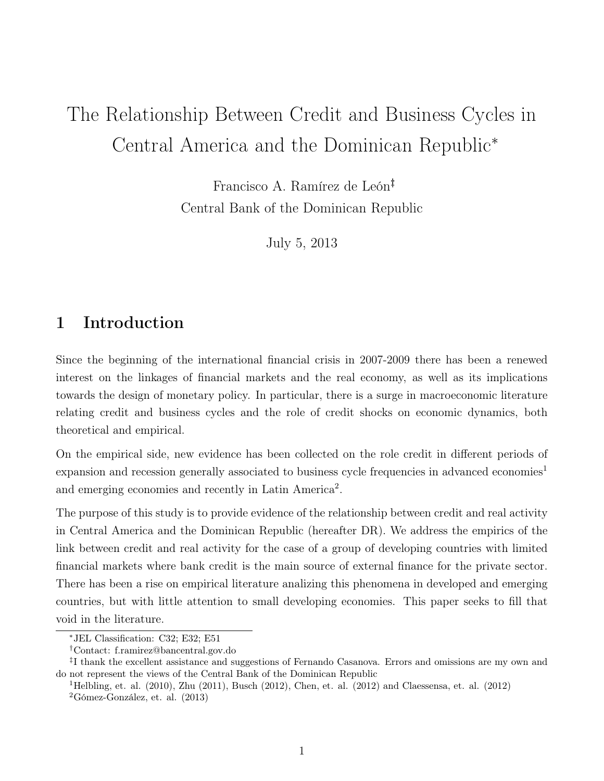# The Relationship Between Credit and Business Cycles in Central America and the Dominican Republic<sup>∗</sup>

Francisco A. Ramírez de León†‡ Central Bank of the Dominican Republic

July 5, 2013

# 1 Introduction

Since the beginning of the international financial crisis in 2007-2009 there has been a renewed interest on the linkages of financial markets and the real economy, as well as its implications towards the design of monetary policy. In particular, there is a surge in macroeconomic literature relating credit and business cycles and the role of credit shocks on economic dynamics, both theoretical and empirical.

On the empirical side, new evidence has been collected on the role credit in different periods of expansion and recession generally associated to business cycle frequencies in advanced economies<sup>1</sup> and emerging economies and recently in Latin America<sup>2</sup>.

The purpose of this study is to provide evidence of the relationship between credit and real activity in Central America and the Dominican Republic (hereafter DR). We address the empirics of the link between credit and real activity for the case of a group of developing countries with limited financial markets where bank credit is the main source of external finance for the private sector. There has been a rise on empirical literature analizing this phenomena in developed and emerging countries, but with little attention to small developing economies. This paper seeks to fill that void in the literature.

<sup>∗</sup>JEL Classification: C32; E32; E51

<sup>†</sup>Contact: f.ramirez@bancentral.gov.do

<sup>‡</sup> I thank the excellent assistance and suggestions of Fernando Casanova. Errors and omissions are my own and do not represent the views of the Central Bank of the Dominican Republic

<sup>&</sup>lt;sup>1</sup>Helbling, et. al. (2010), Zhu (2011), Busch (2012), Chen, et. al. (2012) and Claessensa, et. al. (2012)

<sup>2</sup>Gómez-González, et. al. (2013)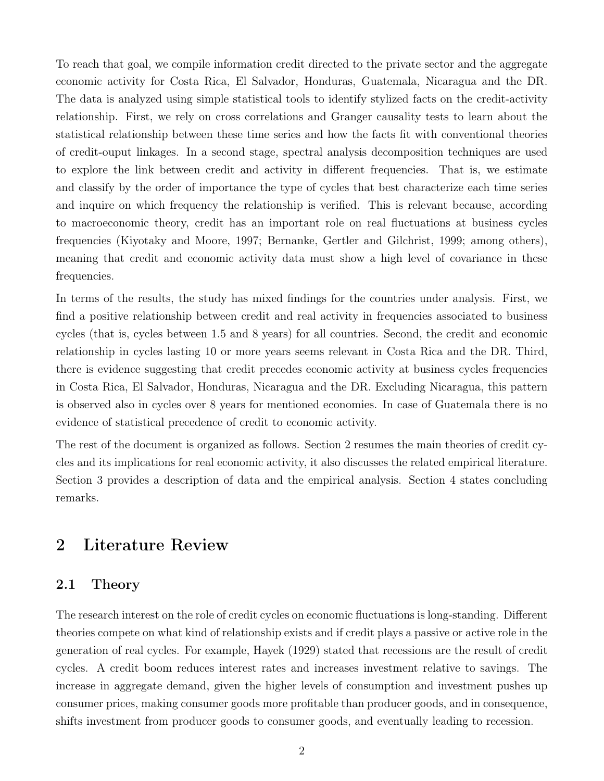To reach that goal, we compile information credit directed to the private sector and the aggregate economic activity for Costa Rica, El Salvador, Honduras, Guatemala, Nicaragua and the DR. The data is analyzed using simple statistical tools to identify stylized facts on the credit-activity relationship. First, we rely on cross correlations and Granger causality tests to learn about the statistical relationship between these time series and how the facts fit with conventional theories of credit-ouput linkages. In a second stage, spectral analysis decomposition techniques are used to explore the link between credit and activity in different frequencies. That is, we estimate and classify by the order of importance the type of cycles that best characterize each time series and inquire on which frequency the relationship is verified. This is relevant because, according to macroeconomic theory, credit has an important role on real fluctuations at business cycles frequencies (Kiyotaky and Moore, 1997; Bernanke, Gertler and Gilchrist, 1999; among others), meaning that credit and economic activity data must show a high level of covariance in these frequencies.

In terms of the results, the study has mixed findings for the countries under analysis. First, we find a positive relationship between credit and real activity in frequencies associated to business cycles (that is, cycles between 1.5 and 8 years) for all countries. Second, the credit and economic relationship in cycles lasting 10 or more years seems relevant in Costa Rica and the DR. Third, there is evidence suggesting that credit precedes economic activity at business cycles frequencies in Costa Rica, El Salvador, Honduras, Nicaragua and the DR. Excluding Nicaragua, this pattern is observed also in cycles over 8 years for mentioned economies. In case of Guatemala there is no evidence of statistical precedence of credit to economic activity.

The rest of the document is organized as follows. Section 2 resumes the main theories of credit cycles and its implications for real economic activity, it also discusses the related empirical literature. Section 3 provides a description of data and the empirical analysis. Section 4 states concluding remarks.

# 2 Literature Review

### 2.1 Theory

The research interest on the role of credit cycles on economic fluctuations is long-standing. Different theories compete on what kind of relationship exists and if credit plays a passive or active role in the generation of real cycles. For example, Hayek (1929) stated that recessions are the result of credit cycles. A credit boom reduces interest rates and increases investment relative to savings. The increase in aggregate demand, given the higher levels of consumption and investment pushes up consumer prices, making consumer goods more profitable than producer goods, and in consequence, shifts investment from producer goods to consumer goods, and eventually leading to recession.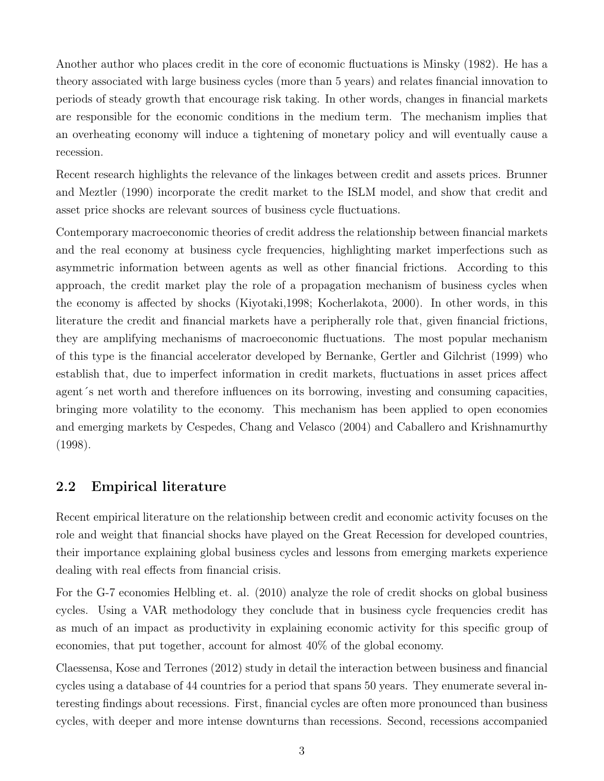Another author who places credit in the core of economic fluctuations is Minsky (1982). He has a theory associated with large business cycles (more than 5 years) and relates financial innovation to periods of steady growth that encourage risk taking. In other words, changes in financial markets are responsible for the economic conditions in the medium term. The mechanism implies that an overheating economy will induce a tightening of monetary policy and will eventually cause a recession.

Recent research highlights the relevance of the linkages between credit and assets prices. Brunner and Meztler (1990) incorporate the credit market to the ISLM model, and show that credit and asset price shocks are relevant sources of business cycle fluctuations.

Contemporary macroeconomic theories of credit address the relationship between financial markets and the real economy at business cycle frequencies, highlighting market imperfections such as asymmetric information between agents as well as other financial frictions. According to this approach, the credit market play the role of a propagation mechanism of business cycles when the economy is affected by shocks (Kiyotaki,1998; Kocherlakota, 2000). In other words, in this literature the credit and financial markets have a peripherally role that, given financial frictions, they are amplifying mechanisms of macroeconomic fluctuations. The most popular mechanism of this type is the financial accelerator developed by Bernanke, Gertler and Gilchrist (1999) who establish that, due to imperfect information in credit markets, fluctuations in asset prices affect agent´s net worth and therefore influences on its borrowing, investing and consuming capacities, bringing more volatility to the economy. This mechanism has been applied to open economies and emerging markets by Cespedes, Chang and Velasco (2004) and Caballero and Krishnamurthy (1998).

### 2.2 Empirical literature

Recent empirical literature on the relationship between credit and economic activity focuses on the role and weight that financial shocks have played on the Great Recession for developed countries, their importance explaining global business cycles and lessons from emerging markets experience dealing with real effects from financial crisis.

For the G-7 economies Helbling et. al. (2010) analyze the role of credit shocks on global business cycles. Using a VAR methodology they conclude that in business cycle frequencies credit has as much of an impact as productivity in explaining economic activity for this specific group of economies, that put together, account for almost 40% of the global economy.

Claessensa, Kose and Terrones (2012) study in detail the interaction between business and financial cycles using a database of 44 countries for a period that spans 50 years. They enumerate several interesting findings about recessions. First, financial cycles are often more pronounced than business cycles, with deeper and more intense downturns than recessions. Second, recessions accompanied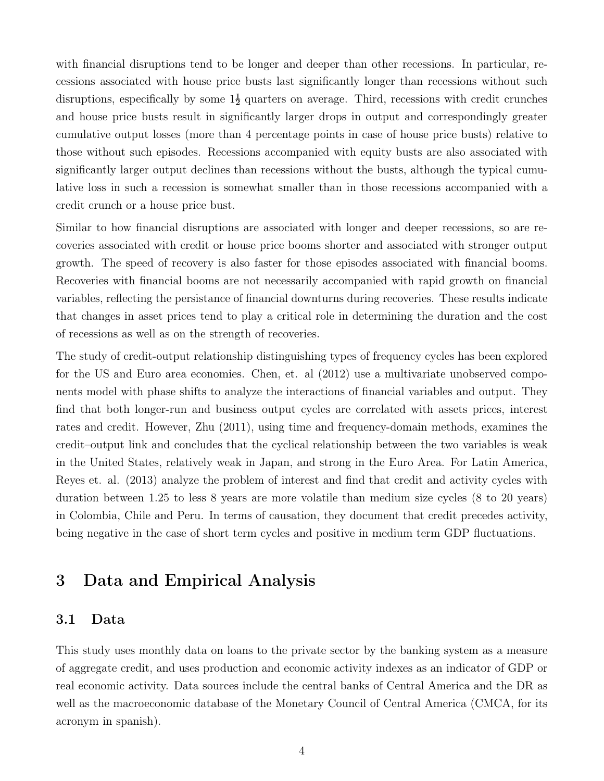with financial disruptions tend to be longer and deeper than other recessions. In particular, recessions associated with house price busts last significantly longer than recessions without such disruptions, especifically by some  $1\frac{1}{2}$  quarters on average. Third, recessions with credit crunches and house price busts result in significantly larger drops in output and correspondingly greater cumulative output losses (more than 4 percentage points in case of house price busts) relative to those without such episodes. Recessions accompanied with equity busts are also associated with significantly larger output declines than recessions without the busts, although the typical cumulative loss in such a recession is somewhat smaller than in those recessions accompanied with a credit crunch or a house price bust.

Similar to how financial disruptions are associated with longer and deeper recessions, so are recoveries associated with credit or house price booms shorter and associated with stronger output growth. The speed of recovery is also faster for those episodes associated with financial booms. Recoveries with financial booms are not necessarily accompanied with rapid growth on financial variables, reflecting the persistance of financial downturns during recoveries. These results indicate that changes in asset prices tend to play a critical role in determining the duration and the cost of recessions as well as on the strength of recoveries.

The study of credit-output relationship distinguishing types of frequency cycles has been explored for the US and Euro area economies. Chen, et. al (2012) use a multivariate unobserved components model with phase shifts to analyze the interactions of financial variables and output. They find that both longer-run and business output cycles are correlated with assets prices, interest rates and credit. However, Zhu (2011), using time and frequency-domain methods, examines the credit–output link and concludes that the cyclical relationship between the two variables is weak in the United States, relatively weak in Japan, and strong in the Euro Area. For Latin America, Reyes et. al. (2013) analyze the problem of interest and find that credit and activity cycles with duration between 1.25 to less 8 years are more volatile than medium size cycles (8 to 20 years) in Colombia, Chile and Peru. In terms of causation, they document that credit precedes activity, being negative in the case of short term cycles and positive in medium term GDP fluctuations.

# 3 Data and Empirical Analysis

### 3.1 Data

This study uses monthly data on loans to the private sector by the banking system as a measure of aggregate credit, and uses production and economic activity indexes as an indicator of GDP or real economic activity. Data sources include the central banks of Central America and the DR as well as the macroeconomic database of the Monetary Council of Central America (CMCA, for its acronym in spanish).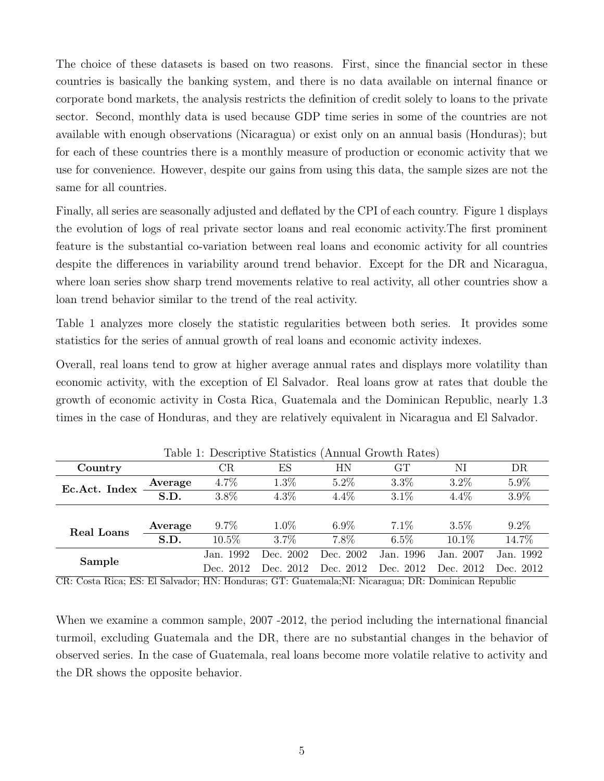The choice of these datasets is based on two reasons. First, since the financial sector in these countries is basically the banking system, and there is no data available on internal finance or corporate bond markets, the analysis restricts the definition of credit solely to loans to the private sector. Second, monthly data is used because GDP time series in some of the countries are not available with enough observations (Nicaragua) or exist only on an annual basis (Honduras); but for each of these countries there is a monthly measure of production or economic activity that we use for convenience. However, despite our gains from using this data, the sample sizes are not the same for all countries.

Finally, all series are seasonally adjusted and deflated by the CPI of each country. Figure 1 displays the evolution of logs of real private sector loans and real economic activity.The first prominent feature is the substantial co-variation between real loans and economic activity for all countries despite the differences in variability around trend behavior. Except for the DR and Nicaragua, where loan series show sharp trend movements relative to real activity, all other countries show a loan trend behavior similar to the trend of the real activity.

Table 1 analyzes more closely the statistic regularities between both series. It provides some statistics for the series of annual growth of real loans and economic activity indexes.

Overall, real loans tend to grow at higher average annual rates and displays more volatility than economic activity, with the exception of El Salvador. Real loans grow at rates that double the growth of economic activity in Costa Rica, Guatemala and the Dominican Republic, nearly 1.3 times in the case of Honduras, and they are relatively equivalent in Nicaragua and El Salvador.

| Table 1. Descriptive Statistics (Alliluat Growth Kates) |                          |           |           |           |           |           |           |  |  |
|---------------------------------------------------------|--------------------------|-----------|-----------|-----------|-----------|-----------|-----------|--|--|
| Country                                                 |                          | CR        | ES        | HN        | GТ        | NI        | DR        |  |  |
| Ec.Act. Index                                           | Average                  | 4.7%      | 1.3%      | $5.2\%$   | $3.3\%$   | $3.2\%$   | $5.9\%$   |  |  |
|                                                         | $\overline{\text{S.D.}}$ | 3.8%      | $4.3\%$   | $4.4\%$   | $3.1\%$   | $4.4\%$   | $3.9\%$   |  |  |
|                                                         |                          |           |           |           |           |           |           |  |  |
| Real Loans                                              | Average                  | $9.7\%$   | $1.0\%$   | $6.9\%$   | $7.1\%$   | $3.5\%$   | $9.2\%$   |  |  |
|                                                         | S.D.                     | $10.5\%$  | $3.7\%$   | $7.8\%$   | $6.5\%$   | $10.1\%$  | 14.7%     |  |  |
| Sample                                                  |                          | Jan. 1992 | Dec. 2002 | Dec. 2002 | Jan. 1996 | Jan. 2007 | Jan. 1992 |  |  |
|                                                         |                          | Dec. 2012 | Dec. 2012 | Dec. 2012 | Dec. 2012 | Dec. 2012 | Dec. 2012 |  |  |

Table 1: Descriptive Statistics (Annual Growth Rates)

CR: Costa Rica; ES: El Salvador; HN: Honduras; GT: Guatemala;NI: Nicaragua; DR: Dominican Republic

When we examine a common sample, 2007 -2012, the period including the international financial turmoil, excluding Guatemala and the DR, there are no substantial changes in the behavior of observed series. In the case of Guatemala, real loans become more volatile relative to activity and the DR shows the opposite behavior.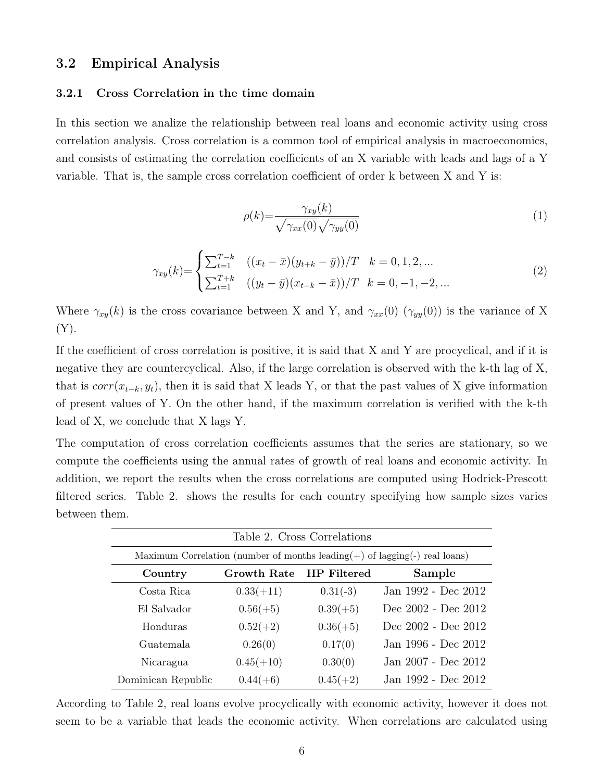### 3.2 Empirical Analysis

#### 3.2.1 Cross Correlation in the time domain

In this section we analize the relationship between real loans and economic activity using cross correlation analysis. Cross correlation is a common tool of empirical analysis in macroeconomics, and consists of estimating the correlation coefficients of an X variable with leads and lags of a Y variable. That is, the sample cross correlation coefficient of order k between X and Y is:

$$
\rho(k) = \frac{\gamma_{xy}(k)}{\sqrt{\gamma_{xx}(0)}\sqrt{\gamma_{yy}(0)}}
$$
\n(1)

$$
\gamma_{xy}(k) = \begin{cases}\n\sum_{t=1}^{T-k} & ((x_t - \bar{x})(y_{t+k} - \bar{y}))/T \quad k = 0, 1, 2, \dots \\
\sum_{t=1}^{T+k} & ((y_t - \bar{y})(x_{t-k} - \bar{x}))/T \quad k = 0, -1, -2, \dots\n\end{cases}
$$
\n(2)

Where  $\gamma_{xy}(k)$  is the cross covariance between X and Y, and  $\gamma_{xx}(0)$  ( $\gamma_{yy}(0)$ ) is the variance of X  $(Y).$ 

If the coefficient of cross correlation is positive, it is said that X and Y are procyclical, and if it is negative they are countercyclical. Also, if the large correlation is observed with the k-th lag of X, that is  $corr(x_{t-k}, y_t)$ , then it is said that X leads Y, or that the past values of X give information of present values of Y. On the other hand, if the maximum correlation is verified with the k-th lead of X, we conclude that X lags Y.

The computation of cross correlation coefficients assumes that the series are stationary, so we compute the coefficients using the annual rates of growth of real loans and economic activity. In addition, we report the results when the cross correlations are computed using Hodrick-Prescott filtered series. Table 2. shows the results for each country specifying how sample sizes varies between them.

| Table 2. Cross Correlations                                                      |                    |                    |                     |  |  |  |  |  |
|----------------------------------------------------------------------------------|--------------------|--------------------|---------------------|--|--|--|--|--|
| Maximum Correlation (number of months leading $(+)$ of lagging $(-)$ real loans) |                    |                    |                     |  |  |  |  |  |
| Country                                                                          | <b>Growth Rate</b> | <b>HP</b> Filtered | Sample              |  |  |  |  |  |
| Costa Rica                                                                       | $0.33(+11)$        | $0.31(-3)$         | Jan 1992 - Dec 2012 |  |  |  |  |  |
| El Salvador                                                                      | $0.56(+5)$         | $0.39(+5)$         | Dec 2002 - Dec 2012 |  |  |  |  |  |
| Honduras                                                                         | $0.52(+2)$         | $0.36(+5)$         | Dec 2002 - Dec 2012 |  |  |  |  |  |
| Guatemala                                                                        | 0.26(0)            | 0.17(0)            | Jan 1996 - Dec 2012 |  |  |  |  |  |
| Nicaragua                                                                        | $0.45(+10)$        | 0.30(0)            | Jan 2007 - Dec 2012 |  |  |  |  |  |
| Dominican Republic                                                               | $0.44(+6)$         | $0.45(+2)$         | Jan 1992 - Dec 2012 |  |  |  |  |  |

According to Table 2, real loans evolve procyclically with economic activity, however it does not seem to be a variable that leads the economic activity. When correlations are calculated using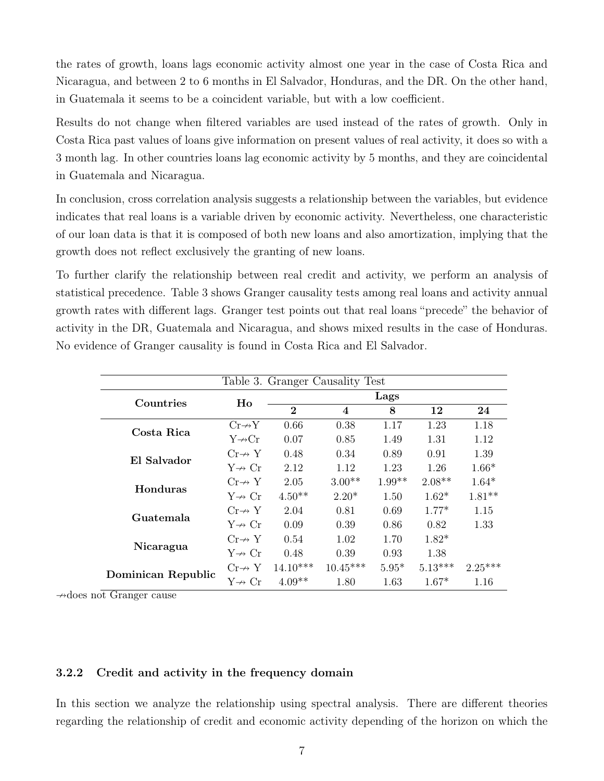the rates of growth, loans lags economic activity almost one year in the case of Costa Rica and Nicaragua, and between 2 to 6 months in El Salvador, Honduras, and the DR. On the other hand, in Guatemala it seems to be a coincident variable, but with a low coefficient.

Results do not change when filtered variables are used instead of the rates of growth. Only in Costa Rica past values of loans give information on present values of real activity, it does so with a 3 month lag. In other countries loans lag economic activity by 5 months, and they are coincidental in Guatemala and Nicaragua.

In conclusion, cross correlation analysis suggests a relationship between the variables, but evidence indicates that real loans is a variable driven by economic activity. Nevertheless, one characteristic of our loan data is that it is composed of both new loans and also amortization, implying that the growth does not reflect exclusively the granting of new loans.

To further clarify the relationship between real credit and activity, we perform an analysis of statistical precedence. Table 3 shows Granger causality tests among real loans and activity annual growth rates with different lags. Granger test points out that real loans "precede" the behavior of activity in the DR, Guatemala and Nicaragua, and shows mixed results in the case of Honduras. No evidence of Granger causality is found in Costa Rica and El Salvador.

| Table 3. Granger Causality Test |                          |              |            |          |           |           |  |
|---------------------------------|--------------------------|--------------|------------|----------|-----------|-----------|--|
| Countries                       | Ho                       | Lags         |            |          |           |           |  |
|                                 |                          | $\mathbf{2}$ | 4          | 8        | 12        | 24        |  |
| Costa Rica                      | $Cr \rightarrow Y$       | 0.66         | 0.38       | 1.17     | 1.23      | 1.18      |  |
|                                 | $Y \rightarrow Cr$       | 0.07         | 0.85       | 1.49     | 1.31      | 1.12      |  |
| El Salvador                     | $Cr \nightharpoondown Y$ | 0.48         | 0.34       | 0.89     | 0.91      | 1.39      |  |
|                                 | $Y \nrightarrow Cr$      | 2.12         | 1.12       | 1.23     | 1.26      | $1.66*$   |  |
| Honduras                        | $Cr\nrightarrow Y$       | 2.05         | $3.00**$   | $1.99**$ | $2.08**$  | $1.64*$   |  |
|                                 | $Y \nrightarrow Cr$      | $4.50**$     | $2.20*$    | 1.50     | $1.62*$   | $1.81**$  |  |
| Guatemala                       | $Cr\nrightarrow Y$       | 2.04         | 0.81       | 0.69     | $1.77*$   | 1.15      |  |
|                                 | $Y \nrightarrow Cr$      | 0.09         | 0.39       | 0.86     | 0.82      | 1.33      |  |
|                                 | $Cr\nrightarrow Y$       | 0.54         | 1.02       | 1.70     | $1.82*$   |           |  |
| Nicaragua                       | $Y \nrightarrow Cr$      | 0.48         | 0.39       | 0.93     | 1.38      |           |  |
|                                 | $Cr\nrightarrow Y$       | $14.10***$   | $10.45***$ | $5.95*$  | $5.13***$ | $2.25***$ |  |
| Dominican Republic              | $Y \nrightarrow Cr$      | $4.09**$     | 1.80       | 1.63     | $1.67*$   | 1.16      |  |

 $\rightarrow$ does not Granger cause

#### 3.2.2 Credit and activity in the frequency domain

In this section we analyze the relationship using spectral analysis. There are different theories regarding the relationship of credit and economic activity depending of the horizon on which the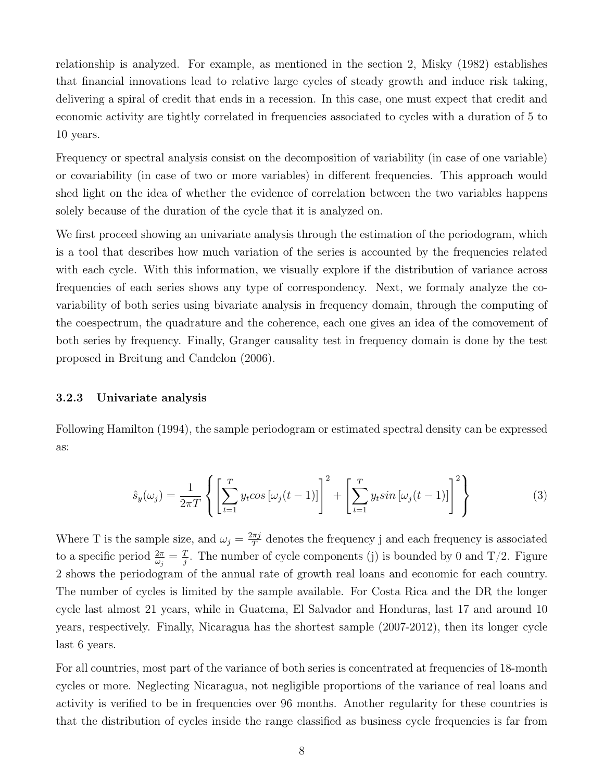relationship is analyzed. For example, as mentioned in the section 2, Misky (1982) establishes that financial innovations lead to relative large cycles of steady growth and induce risk taking, delivering a spiral of credit that ends in a recession. In this case, one must expect that credit and economic activity are tightly correlated in frequencies associated to cycles with a duration of 5 to 10 years.

Frequency or spectral analysis consist on the decomposition of variability (in case of one variable) or covariability (in case of two or more variables) in different frequencies. This approach would shed light on the idea of whether the evidence of correlation between the two variables happens solely because of the duration of the cycle that it is analyzed on.

We first proceed showing an univariate analysis through the estimation of the periodogram, which is a tool that describes how much variation of the series is accounted by the frequencies related with each cycle. With this information, we visually explore if the distribution of variance across frequencies of each series shows any type of correspondency. Next, we formaly analyze the covariability of both series using bivariate analysis in frequency domain, through the computing of the coespectrum, the quadrature and the coherence, each one gives an idea of the comovement of both series by frequency. Finally, Granger causality test in frequency domain is done by the test proposed in Breitung and Candelon (2006).

#### 3.2.3 Univariate analysis

Following Hamilton (1994), the sample periodogram or estimated spectral density can be expressed as:

$$
\hat{s}_y(\omega_j) = \frac{1}{2\pi T} \left\{ \left[ \sum_{t=1}^T y_t \cos \left[ \omega_j (t-1) \right] \right]^2 + \left[ \sum_{t=1}^T y_t \sin \left[ \omega_j (t-1) \right] \right]^2 \right\} \tag{3}
$$

Where T is the sample size, and  $\omega_j = \frac{2\pi j}{T}$  $\frac{\pi j}{T}$  denotes the frequency j and each frequency is associated to a specific period  $\frac{2\pi}{\omega_j} = \frac{T}{j}$  $\frac{T}{j}$ . The number of cycle components (j) is bounded by 0 and T/2. Figure 2 shows the periodogram of the annual rate of growth real loans and economic for each country. The number of cycles is limited by the sample available. For Costa Rica and the DR the longer cycle last almost 21 years, while in Guatema, El Salvador and Honduras, last 17 and around 10 years, respectively. Finally, Nicaragua has the shortest sample (2007-2012), then its longer cycle last 6 years.

For all countries, most part of the variance of both series is concentrated at frequencies of 18-month cycles or more. Neglecting Nicaragua, not negligible proportions of the variance of real loans and activity is verified to be in frequencies over 96 months. Another regularity for these countries is that the distribution of cycles inside the range classified as business cycle frequencies is far from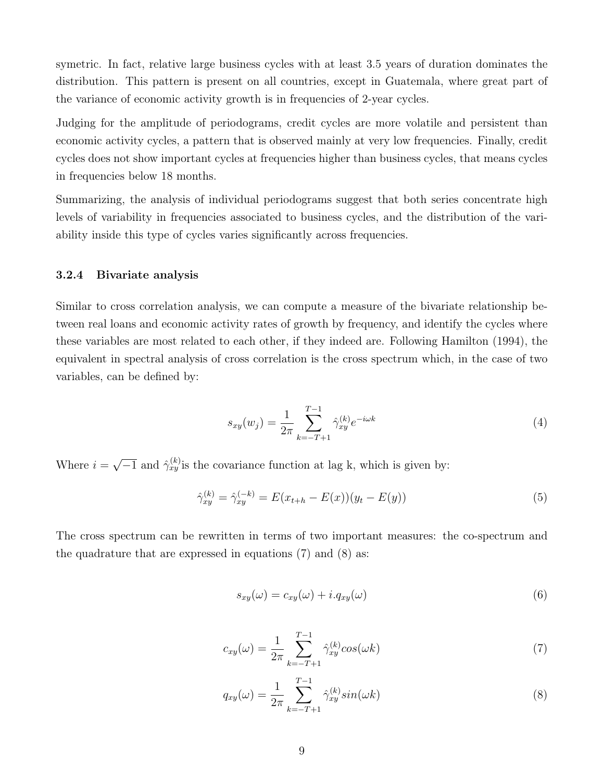symetric. In fact, relative large business cycles with at least 3.5 years of duration dominates the distribution. This pattern is present on all countries, except in Guatemala, where great part of the variance of economic activity growth is in frequencies of 2-year cycles.

Judging for the amplitude of periodograms, credit cycles are more volatile and persistent than economic activity cycles, a pattern that is observed mainly at very low frequencies. Finally, credit cycles does not show important cycles at frequencies higher than business cycles, that means cycles in frequencies below 18 months.

Summarizing, the analysis of individual periodograms suggest that both series concentrate high levels of variability in frequencies associated to business cycles, and the distribution of the variability inside this type of cycles varies significantly across frequencies.

#### 3.2.4 Bivariate analysis

Similar to cross correlation analysis, we can compute a measure of the bivariate relationship between real loans and economic activity rates of growth by frequency, and identify the cycles where these variables are most related to each other, if they indeed are. Following Hamilton (1994), the equivalent in spectral analysis of cross correlation is the cross spectrum which, in the case of two variables, can be defined by:

$$
s_{xy}(w_j) = \frac{1}{2\pi} \sum_{k=-T+1}^{T-1} \hat{\gamma}_{xy}^{(k)} e^{-i\omega k}
$$
\n(4)

Where  $i =$ √  $\overline{-1}$  and  $\hat{\gamma}_{xy}^{(k)}$  is the covariance function at lag k, which is given by:

$$
\hat{\gamma}_{xy}^{(k)} = \hat{\gamma}_{xy}^{(-k)} = E(x_{t+h} - E(x))(y_t - E(y))
$$
\n(5)

The cross spectrum can be rewritten in terms of two important measures: the co-spectrum and the quadrature that are expressed in equations  $(7)$  and  $(8)$  as:

$$
s_{xy}(\omega) = c_{xy}(\omega) + i.q_{xy}(\omega)
$$
\n(6)

$$
c_{xy}(\omega) = \frac{1}{2\pi} \sum_{k=-T+1}^{T-1} \hat{\gamma}_{xy}^{(k)} \cos(\omega k)
$$
 (7)

$$
q_{xy}(\omega) = \frac{1}{2\pi} \sum_{k=-T+1}^{T-1} \hat{\gamma}_{xy}^{(k)} sin(\omega k)
$$
 (8)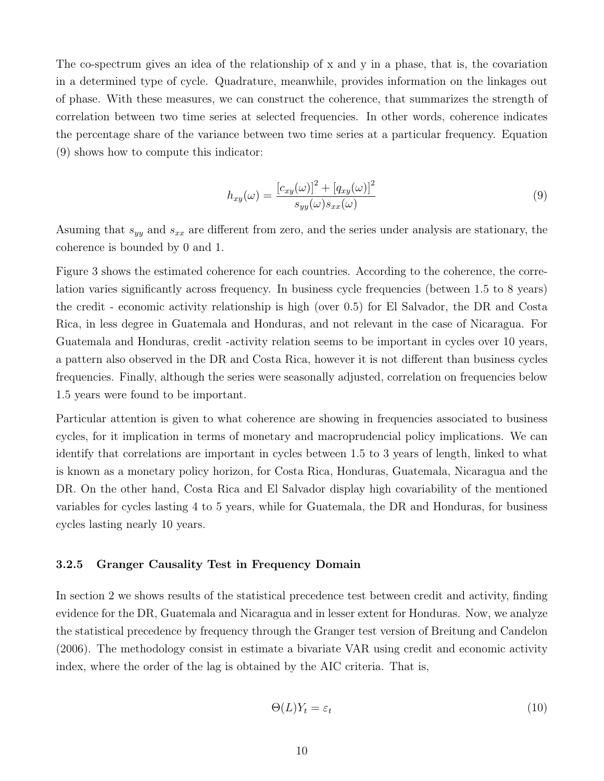The co-spectrum gives an idea of the relationship of x and y in a phase, that is, the covariation in a determined type of cycle. Quadrature, meanwhile, provides information on the linkages out of phase. With these measures, we can construct the coherence, that summarizes the strength of correlation between two time series at selected frequencies. In other words, coherence indicates the percentage share of the variance between two time series at a particular frequency. Equation (9) shows how to compute this indicator:

$$
h_{xy}(\omega) = \frac{\left[c_{xy}(\omega)\right]^2 + \left[q_{xy}(\omega)\right]^2}{s_{yy}(\omega)s_{xx}(\omega)}
$$
(9)

Asuming that  $s_{yy}$  and  $s_{xx}$  are different from zero, and the series under analysis are stationary, the coherence is bounded by 0 and 1.

Figure 3 shows the estimated coherence for each countries. According to the coherence, the correlation varies significantly across frequency. In business cycle frequencies (between 1.5 to 8 years) the credit - economic activity relationship is high (over 0.5) for El Salvador, the DR and Costa Rica, in less degree in Guatemala and Honduras, and not relevant in the case of Nicaragua. For Guatemala and Honduras, credit -activity relation seems to be important in cycles over 10 years, a pattern also observed in the DR and Costa Rica, however it is not different than business cycles frequencies. Finally, although the series were seasonally adjusted, correlation on frequencies below 1.5 years were found to be important.

Particular attention is given to what coherence are showing in frequencies associated to business cycles, for it implication in terms of monetary and macroprudencial policy implications. We can identify that correlations are important in cycles between 1.5 to 3 years of length, linked to what is known as a monetary policy horizon, for Costa Rica, Honduras, Guatemala, Nicaragua and the DR. On the other hand, Costa Rica and El Salvador display high covariability of the mentioned variables for cycles lasting 4 to 5 years, while for Guatemala, the DR and Honduras, for business cycles lasting nearly 10 years.

#### 3.2.5 Granger Causality Test in Frequency Domain

In section 2 we shows results of the statistical precedence test between credit and activity, finding evidence for the DR, Guatemala and Nicaragua and in lesser extent for Honduras. Now, we analyze the statistical precedence by frequency through the Granger test version of Breitung and Candelon (2006). The methodology consist in estimate a bivariate VAR using credit and economic activity index, where the order of the lag is obtained by the AIC criteria. That is,

$$
\Theta(L)Y_t = \varepsilon_t \tag{10}
$$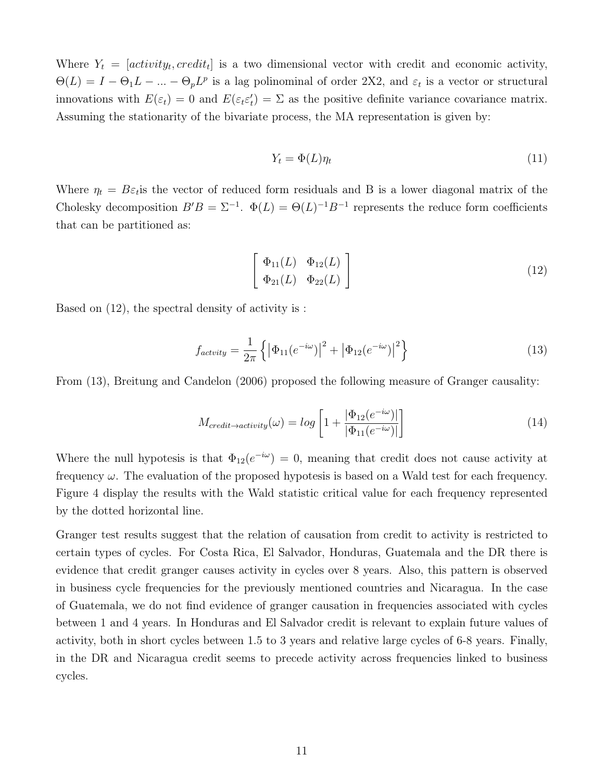Where  $Y_t = [activity_t, credit_t]$  is a two dimensional vector with credit and economic activity,  $\Theta(L) = I - \Theta_1 L - ... - \Theta_p L^p$  is a lag polinominal of order 2X2, and  $\varepsilon_t$  is a vector or structural innovations with  $E(\varepsilon_t) = 0$  and  $E(\varepsilon_t \varepsilon_t') = \Sigma$  as the positive definite variance covariance matrix. Assuming the stationarity of the bivariate process, the MA representation is given by:

$$
Y_t = \Phi(L)\eta_t \tag{11}
$$

Where  $\eta_t = B\varepsilon_t$  is the vector of reduced form residuals and B is a lower diagonal matrix of the Cholesky decomposition  $B'B = \Sigma^{-1}$ .  $\Phi(L) = \Theta(L)^{-1}B^{-1}$  represents the reduce form coefficients that can be partitioned as:

$$
\left[\begin{array}{cc}\n\Phi_{11}(L) & \Phi_{12}(L) \\
\Phi_{21}(L) & \Phi_{22}(L)\n\end{array}\right]
$$
\n(12)

Based on (12), the spectral density of activity is :

$$
f_{activity} = \frac{1}{2\pi} \left\{ \left| \Phi_{11}(e^{-i\omega}) \right|^2 + \left| \Phi_{12}(e^{-i\omega}) \right|^2 \right\} \tag{13}
$$

From (13), Breitung and Candelon (2006) proposed the following measure of Granger causality:

$$
M_{credit \to activity}(\omega) = \log \left[ 1 + \frac{|\Phi_{12}(e^{-i\omega})|}{|\Phi_{11}(e^{-i\omega})|} \right]
$$
\n(14)

Where the null hypotesis is that  $\Phi_{12}(e^{-i\omega}) = 0$ , meaning that credit does not cause activity at frequency  $\omega$ . The evaluation of the proposed hypotesis is based on a Wald test for each frequency. Figure 4 display the results with the Wald statistic critical value for each frequency represented by the dotted horizontal line.

Granger test results suggest that the relation of causation from credit to activity is restricted to certain types of cycles. For Costa Rica, El Salvador, Honduras, Guatemala and the DR there is evidence that credit granger causes activity in cycles over 8 years. Also, this pattern is observed in business cycle frequencies for the previously mentioned countries and Nicaragua. In the case of Guatemala, we do not find evidence of granger causation in frequencies associated with cycles between 1 and 4 years. In Honduras and El Salvador credit is relevant to explain future values of activity, both in short cycles between 1.5 to 3 years and relative large cycles of 6-8 years. Finally, in the DR and Nicaragua credit seems to precede activity across frequencies linked to business cycles.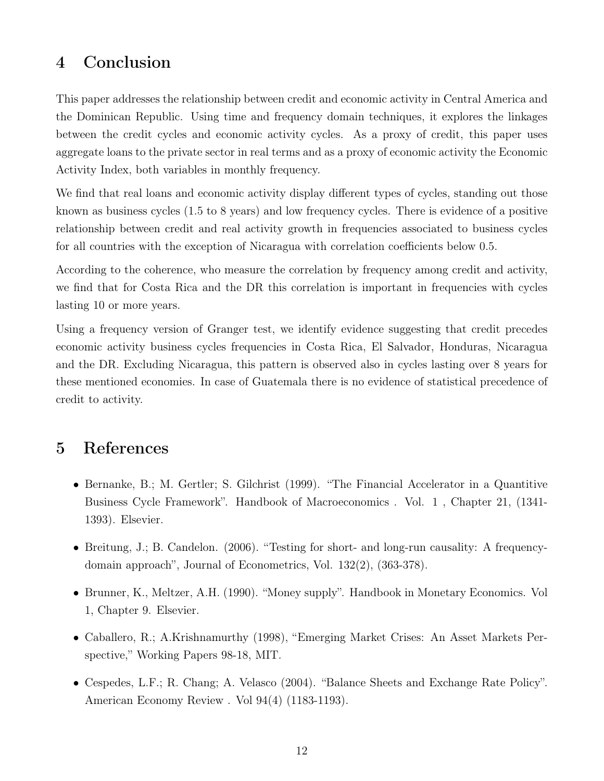# 4 Conclusion

This paper addresses the relationship between credit and economic activity in Central America and the Dominican Republic. Using time and frequency domain techniques, it explores the linkages between the credit cycles and economic activity cycles. As a proxy of credit, this paper uses aggregate loans to the private sector in real terms and as a proxy of economic activity the Economic Activity Index, both variables in monthly frequency.

We find that real loans and economic activity display different types of cycles, standing out those known as business cycles (1.5 to 8 years) and low frequency cycles. There is evidence of a positive relationship between credit and real activity growth in frequencies associated to business cycles for all countries with the exception of Nicaragua with correlation coefficients below 0.5.

According to the coherence, who measure the correlation by frequency among credit and activity, we find that for Costa Rica and the DR this correlation is important in frequencies with cycles lasting 10 or more years.

Using a frequency version of Granger test, we identify evidence suggesting that credit precedes economic activity business cycles frequencies in Costa Rica, El Salvador, Honduras, Nicaragua and the DR. Excluding Nicaragua, this pattern is observed also in cycles lasting over 8 years for these mentioned economies. In case of Guatemala there is no evidence of statistical precedence of credit to activity.

# 5 References

- Bernanke, B.; M. Gertler; S. Gilchrist (1999). "The Financial Accelerator in a Quantitive Business Cycle Framework". Handbook of Macroeconomics . Vol. 1 , Chapter 21, (1341- 1393). Elsevier.
- Breitung, J.; B. Candelon. (2006). "Testing for short- and long-run causality: A frequencydomain approach", Journal of Econometrics, Vol. 132(2), (363-378).
- Brunner, K., Meltzer, A.H. (1990). "Money supply". Handbook in Monetary Economics. Vol 1, Chapter 9. Elsevier.
- Caballero, R.; A.Krishnamurthy (1998), "Emerging Market Crises: An Asset Markets Perspective," Working Papers 98-18, MIT.
- Cespedes, L.F.; R. Chang; A. Velasco (2004). "Balance Sheets and Exchange Rate Policy". American Economy Review . Vol 94(4) (1183-1193).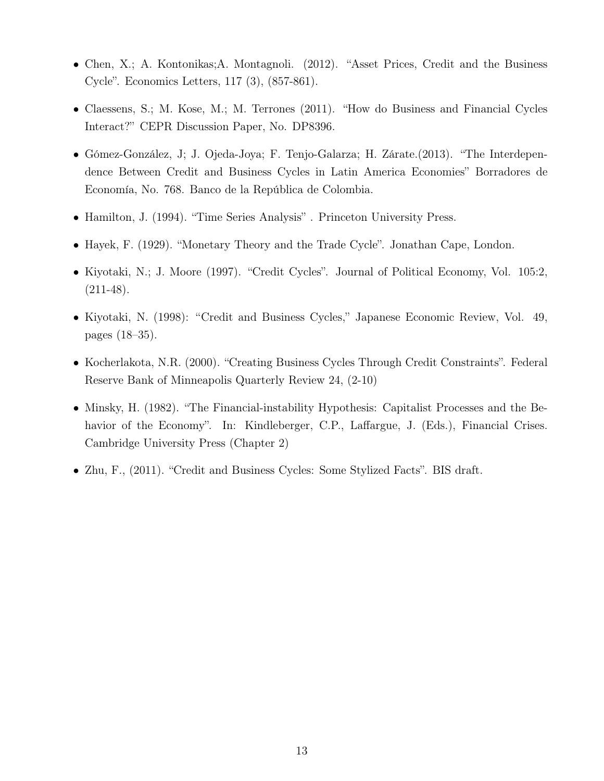- Chen, X.; A. Kontonikas;A. Montagnoli. (2012). "Asset Prices, Credit and the Business Cycle". Economics Letters, 117 (3), (857-861).
- Claessens, S.; M. Kose, M.; M. Terrones (2011). "How do Business and Financial Cycles Interact?" CEPR Discussion Paper, No. DP8396.
- Gómez-González, J; J. Ojeda-Joya; F. Tenjo-Galarza; H. Zárate.(2013). "The Interdependence Between Credit and Business Cycles in Latin America Economies" Borradores de Economía, No. 768. Banco de la República de Colombia.
- Hamilton, J. (1994). "Time Series Analysis" . Princeton University Press.
- Hayek, F. (1929). "Monetary Theory and the Trade Cycle". Jonathan Cape, London.
- Kiyotaki, N.; J. Moore (1997). "Credit Cycles". Journal of Political Economy, Vol. 105:2,  $(211-48).$
- Kiyotaki, N. (1998): "Credit and Business Cycles," Japanese Economic Review, Vol. 49, pages (18–35).
- Kocherlakota, N.R. (2000). "Creating Business Cycles Through Credit Constraints". Federal Reserve Bank of Minneapolis Quarterly Review 24, (2-10)
- Minsky, H. (1982). "The Financial-instability Hypothesis: Capitalist Processes and the Behavior of the Economy". In: Kindleberger, C.P., Laffargue, J. (Eds.), Financial Crises. Cambridge University Press (Chapter 2)
- Zhu, F., (2011). "Credit and Business Cycles: Some Stylized Facts". BIS draft.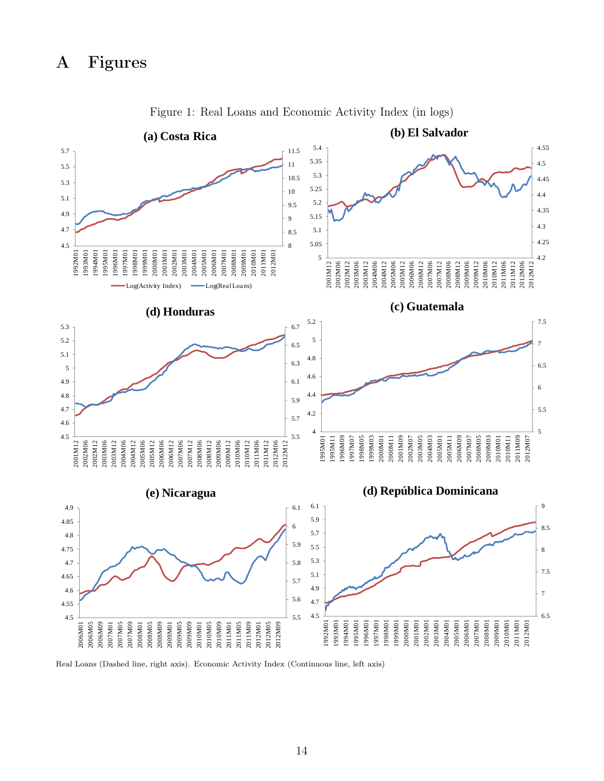

Figure 1: Real Loans and Economic Activity Index (in logs)

Real Loans (Dashed line, right axis). Economic Activity Index (Continuous line, left axis)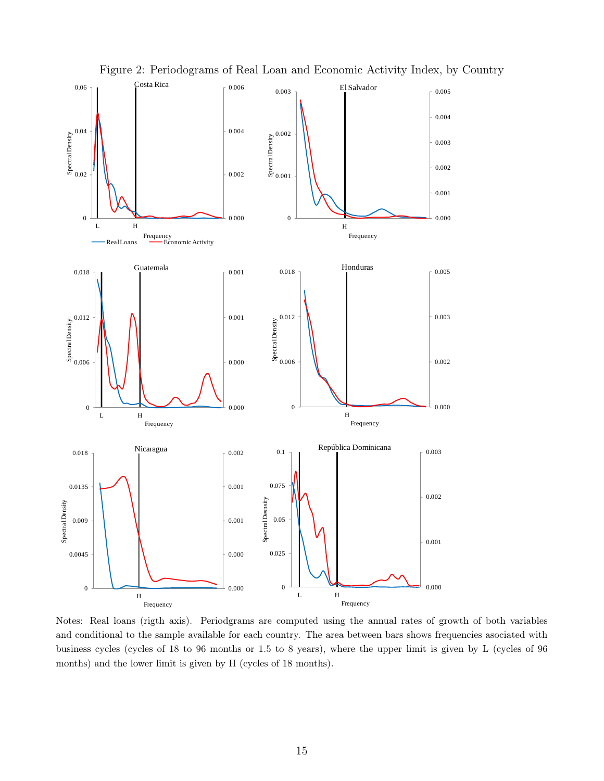

Figure 2: Periodograms of Real Loan and Economic Activity Index, by Country

Notes: Real loans (rigth axis). Periodgrams are computed using the annual rates of growth of both variables and conditional to the sample available for each country. The area between bars shows frequencies asociated with business cycles (cycles of 18 to 96 months or 1.5 to 8 years), where the upper limit is given by L (cycles of 96 months) and the lower limit is given by H (cycles of 18 months).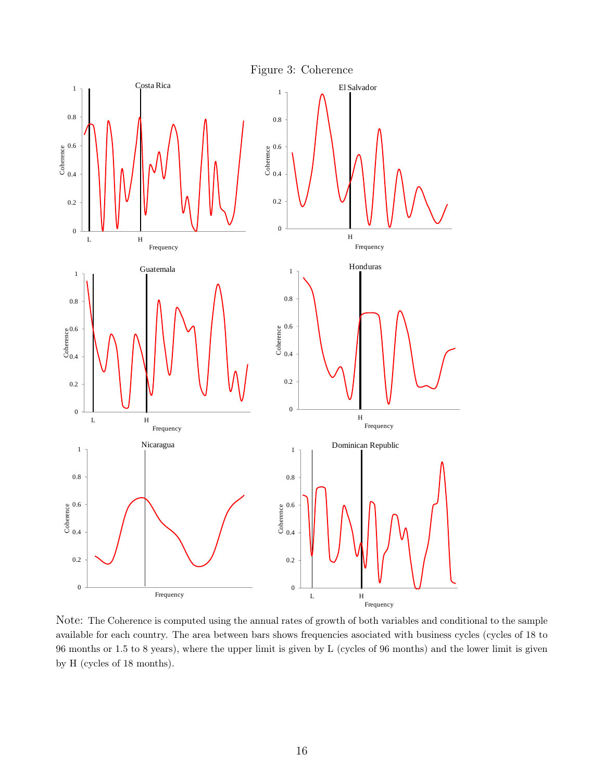

Note: The Coherence is computed using the annual rates of growth of both variables and conditional to the sample available for each country. The area between bars shows frequencies asociated with business cycles (cycles of 18 to 96 months or 1.5 to 8 years), where the upper limit is given by L (cycles of 96 months) and the lower limit is given by H (cycles of 18 months).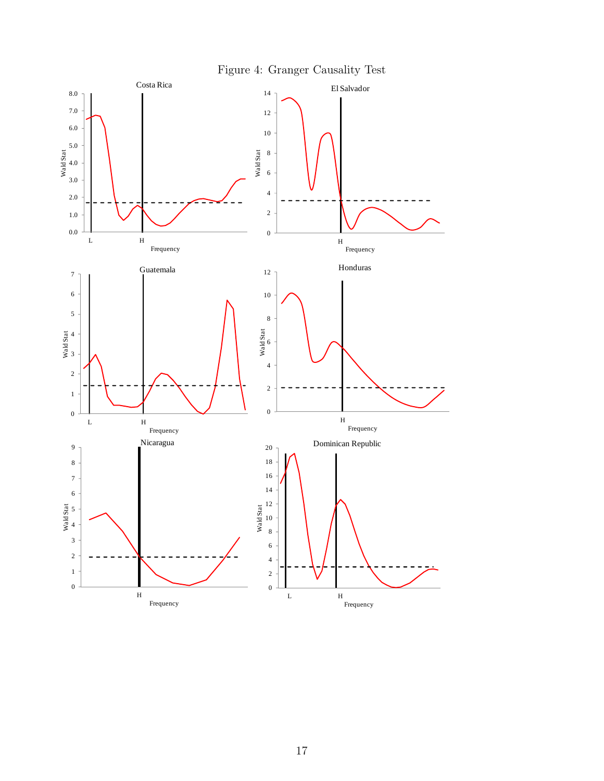

17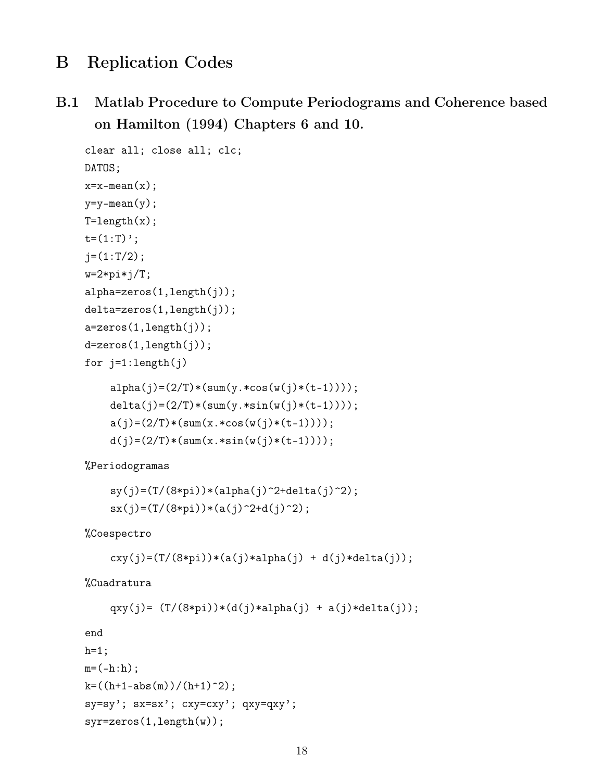# B Replication Codes

B.1 Matlab Procedure to Compute Periodograms and Coherence based on Hamilton (1994) Chapters 6 and 10.

```
clear all; close all; clc;
DATOS;
x=x-mean(x);
y=y-mean(y);
T = length(x);t=(1:T);
j=(1:T/2);w=2*pi*j/T;alpha=zeros(1,length(j));
delta=zeros(1,length(j));
a=zeros(1,length(j));
d=zeros(1,length(j));
for j=1:length(j)
    alpha(j)=(2/T)*(sum(y.*cos(w(j)*(t-1))));delta(j)=(2/T)*(sum(y.*sin(w(j)*(t-1))));
    a(j)=(2/T)*(sum(x.*cos(w(j)*(t-1)))));d(j)=(2/T)*(sum(x.*sin(w(j)*(t-1)))));
```
%Periodogramas

```
sy(j)=(T/(8*pi))*(alpha(j)^2+delta(i)^2);sx(j)=(T/(8*pi))*(a(j)^2+d(j)^2);
```
%Coespectro

```
cxy(j)=(T/(8*pi))*(a(j)*alpha(j) + d(j)*delta(i));
```
%Cuadratura

```
qxy(j)= (T/(8*pi))*(d(j)*alpha(j) + a(j)*delta(i));
```
end

```
h=1;
m = (-h:h);k = ((h+1-abs(m))/(h+1)^{-2});sy=sy'; sx=sx'; cxy=cxy'; qxy=qxy';
syr=zeros(1,length(w));
```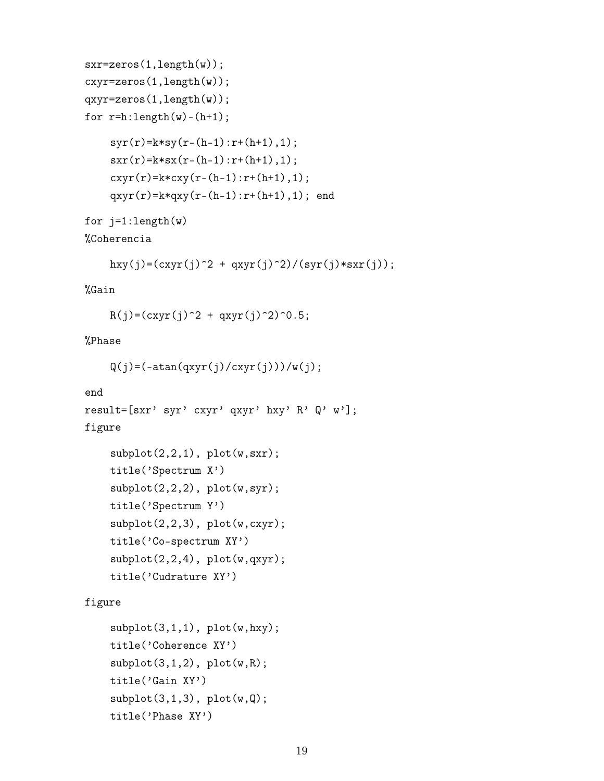```
sxr=zeros(1,length(w));
cxyr=zeros(1,length(w));
qxyr=zeros(1,length(w));
for r=h: length(w)-(h+1);
    syr(r)=k*sy(r-(h-1):r+(h+1),1);sxr(r)=k*sx(r-(h-1):r+(h+1),1);cxyr(r)=k*cxy(r-(h-1):r+(h+1),1);qxyr(r)=k*qxy(r-(h-1):r+(h+1),1); end
for j=1: length(w)
```

```
%Coherencia
```

```
hxy(j)=(cxyr(j)^2 + qxyr(j)^2)/(syr(j)*sxr(j));
```
### %Gain

```
R(j)=(cxyr(j)^2 + qxyr(j)^2)^0.5;
```
### %Phase

```
Q(j)=(-atan(qxyr(j)/cxyr(j)))/w(j);
```

```
end
result=[sxr' syr' cxyr' qxyr' hxy' R' Q' w'];
figure
```

```
subplot(2,2,1), plot(w,sxr);title('Spectrum X')
subplot(2,2,2), plot(w,syr);title('Spectrum Y')
subplot(2,2,3), plot(w,cxyr);
title('Co-spectrum XY')
subplot(2,2,4), plot(w,qxyr);
title('Cudrature XY')
```
figure

```
\text{subplot}(3,1,1), \text{plot}(w,hxy);
title('Coherence XY')
subplot(3,1,2), plot(w,R);title('Gain XY')
subplot(3,1,3), plot(w,Q);title('Phase XY')
```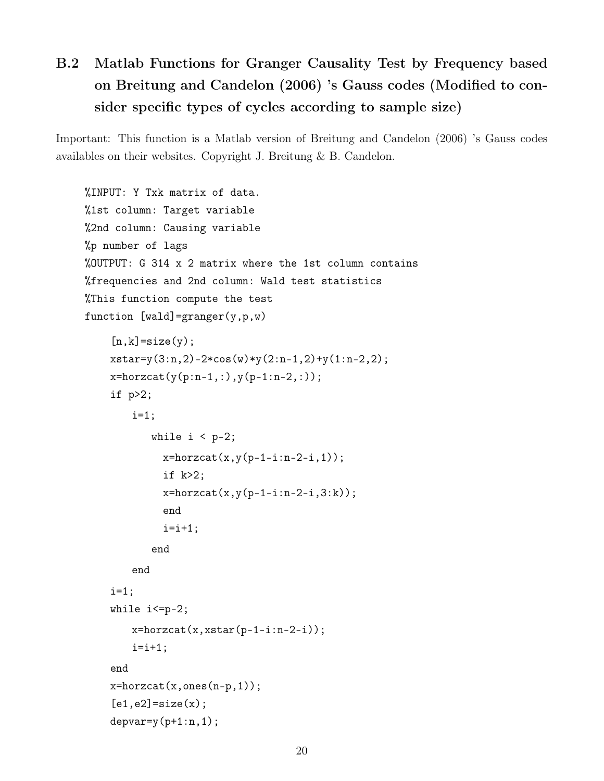# B.2 Matlab Functions for Granger Causality Test by Frequency based on Breitung and Candelon (2006) 's Gauss codes (Modified to consider specific types of cycles according to sample size)

Important: This function is a Matlab version of Breitung and Candelon (2006) 's Gauss codes availables on their websites. Copyright J. Breitung & B. Candelon.

```
%INPUT: Y Txk matrix of data.
%1st column: Target variable
%2nd column: Causing variable
%p number of lags
%OUTPUT: G 314 x 2 matrix where the 1st column contains
%frequencies and 2nd column: Wald test statistics
%This function compute the test
function [wald] = granger(y, p, w)[n,k]=size(y);
    xstar=y(3:n,2)-2*cos(w)*y(2:n-1,2)+y(1:n-2,2);
    x = horzcat(y(p:n-1,:), y(p-1:n-2,:));
    if p>2;
        i=1;while i < p-2;
             x=horzcat(x,y(p-1-i:n-2-i,1));
             if k>2;
             x = horzcat(x, y(p-1-i:n-2-i, 3:k));
             end
             i=i+1:
           end
        end
    i=1;
    while i<=p-2;
        x=horzcat(x, xstar(p-1-i:n-2-i));i=i+1;
    end
    x = horzcat(x, \text{ones}(n-p, 1));
    [e1,e2]=size(x);depvar=y(p+1:n,1);
```